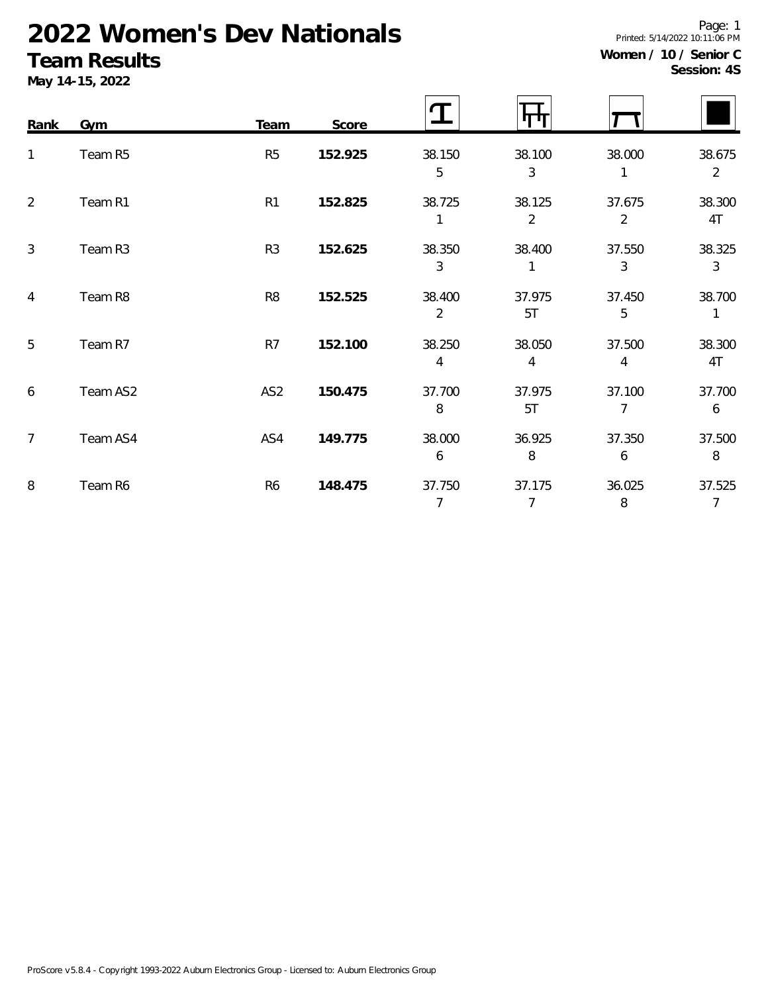# **2022 Women's Dev Nationals**

### **Team Results**

**May 14-15, 2022**

| Women / 10 / Senior C |             |  |
|-----------------------|-------------|--|
|                       | Session: 4S |  |

Printed: 5/14/2022 10:11:06 PM

Page: 1

| Rank           | Gym      | Team            | Score   | T                        |                          |                          |                          |
|----------------|----------|-----------------|---------|--------------------------|--------------------------|--------------------------|--------------------------|
| 1              | Team R5  | R <sub>5</sub>  | 152.925 | 38.150<br>5              | 38.100<br>3              | 38.000                   | 38.675<br>$\overline{2}$ |
| 2              | Team R1  | R <sub>1</sub>  | 152.825 | 38.725                   | 38.125<br>$\overline{2}$ | 37.675<br>$\overline{2}$ | 38.300<br>4T             |
| $\mathfrak{Z}$ | Team R3  | R <sub>3</sub>  | 152.625 | 38.350<br>3              | 38.400                   | 37.550<br>3              | 38.325<br>3              |
| $\overline{4}$ | Team R8  | R <sub>8</sub>  | 152.525 | 38.400<br>$\overline{2}$ | 37.975<br>5T             | 37.450<br>5              | 38.700<br>1              |
| 5              | Team R7  | R7              | 152.100 | 38.250<br>4              | 38.050<br>4              | 37.500<br>4              | 38.300<br>4T             |
| 6              | Team AS2 | AS <sub>2</sub> | 150.475 | 37.700<br>8              | 37.975<br>5T             | 37.100<br>7              | 37.700<br>6              |
| $\overline{7}$ | Team AS4 | AS4             | 149.775 | 38.000<br>6              | 36.925<br>8              | 37.350<br>6              | 37.500<br>8              |
| 8              | Team R6  | R <sub>6</sub>  | 148.475 | 37.750<br>7              | 37.175<br>7              | 36.025<br>8              | 37.525<br>$\overline{7}$ |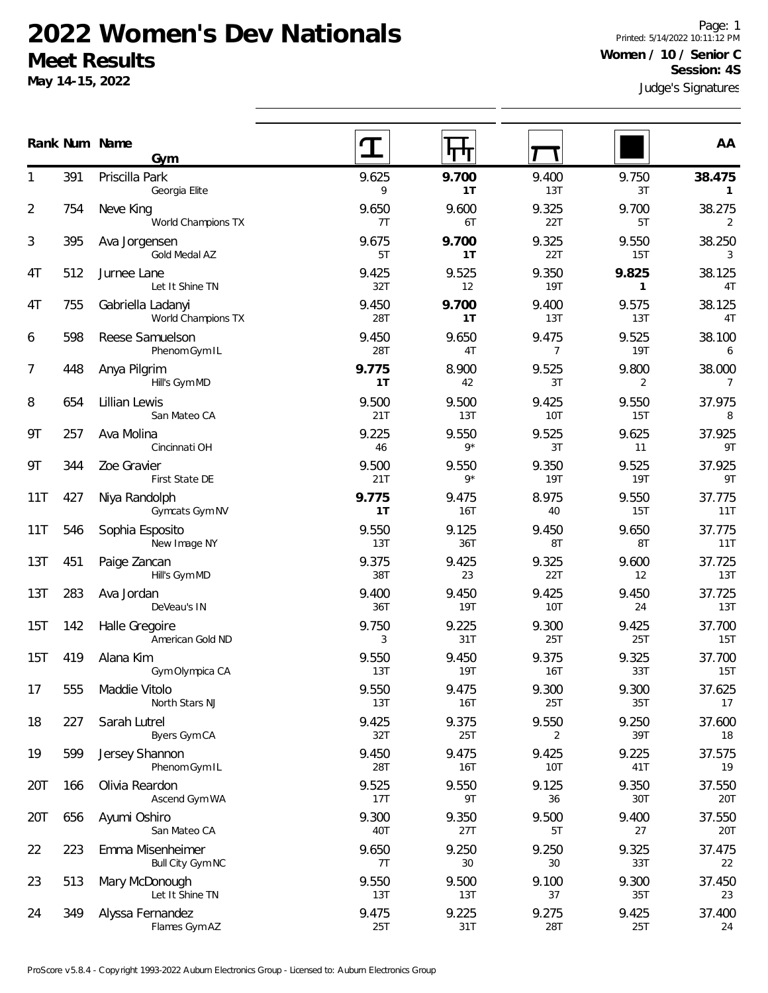#### **2022 Women's Dev Nationals Meet Results**

**Gym**

Georgia Elite

World Champions TX

391 Priscilla Park

754 Neve King

**May 14-15, 2022**

Judge's Signatures Page: 1 Printed: 5/14/2022 10:11:12 PM **Women / 10 / Senior C Session: 4S**

9 **1T** 13T 3T **1** 

7T 6T 22T 5T 2

40T 27T 5T 27 20T

7T 30 30 33T 22

13T 13T 37 35T 23

25T 31T 28T 25T 24

|     |     | Gold Medal AZ                           | 5T           | 1T                      | 22T                     | 15T                 | 3                        |
|-----|-----|-----------------------------------------|--------------|-------------------------|-------------------------|---------------------|--------------------------|
| 4T  | 512 | Jurnee Lane<br>Let It Shine TN          | 9.425<br>32T | 9.525<br>12             | 9.350<br><b>19T</b>     | 9.825<br>1          | 38.125<br>4T             |
| 4T  | 755 | Gabriella Ladanyi<br>World Champions TX | 9.450<br>28T | 9.700<br>1 <sub>T</sub> | 9.400<br>13T            | 9.575<br>13T        | 38.125<br>4T             |
| 6   | 598 | Reese Samuelson<br>Phenom Gym IL        | 9.450<br>28T | 9.650<br>4T             | 9.475<br>$\overline{7}$ | 9.525<br><b>19T</b> | 38.100<br>6              |
| 7   | 448 | Anya Pilgrim<br>Hill's Gym MD           | 9.775<br>1T  | 8.900<br>42             | 9.525<br>3T             | 9.800<br>2          | 38.000<br>$\overline{7}$ |
| 8   | 654 | Lillian Lewis<br>San Mateo CA           | 9.500<br>21T | 9.500<br>13T            | 9.425<br><b>10T</b>     | 9.550<br>15T        | 37.975<br>8              |
| 9Τ  | 257 | Ava Molina<br>Cincinnati OH             | 9.225<br>46  | 9.550<br>$9*$           | 9.525<br>3T             | 9.625<br>11         | 37.925<br>9T             |
| 9Τ  | 344 | Zoe Gravier<br>First State DE           | 9.500<br>21T | 9.550<br>$9*$           | 9.350<br><b>19T</b>     | 9.525<br>19T        | 37.925<br>9T             |
| 11T | 427 | Niya Randolph<br>Gymcats Gym NV         | 9.775<br>1T  | 9.475<br>16T            | 8.975<br>40             | 9.550<br>15T        | 37.775<br>11T            |
| 11T | 546 | Sophia Esposito<br>New Image NY         | 9.550<br>13T | 9.125<br>36T            | 9.450<br>8T             | 9.650<br>8T         | 37.775<br>11T            |
| 13T | 451 | Paige Zancan<br>Hill's Gym MD           | 9.375<br>38T | 9.425<br>23             | 9.325<br>22T            | 9.600<br>12         | 37.725<br><b>13T</b>     |
| 13T | 283 | Ava Jordan<br>DeVeau's IN               | 9.400<br>36T | 9.450<br><b>19T</b>     | 9.425<br>10T            | 9.450<br>24         | 37.725<br>13T            |
| 15T | 142 | Halle Gregoire<br>American Gold ND      | 9.750<br>3   | 9.225<br>31T            | 9.300<br>25T            | 9.425<br>25T        | 37.700<br><b>15T</b>     |
| 15T | 419 | Alana Kim<br>Gym Olympica CA            | 9.550<br>13T | 9.450<br>19T            | 9.375<br><b>16T</b>     | 9.325<br>33T        | 37.700<br>15T            |
| 17  | 555 | Maddie Vitolo<br>North Stars NJ         | 9.550<br>13T | 9.475<br>16T            | 9.300<br><b>25T</b>     | 9.300<br>35T        | 37.625<br>17             |
| 18  | 227 | Sarah Lutrel<br>Byers Gym CA            | 9.425<br>32T | 9.375<br>25T            | 9.550<br>$\overline{2}$ | 9.250<br>39T        | 37.600<br>18             |
| 19  | 599 | Jersey Shannon<br>Phenom Gym IL         | 9.450<br>28T | 9.475<br>16T            | 9.425<br>10T            | 9.225<br>41T        | 37.575<br>19             |
| 20T | 166 | Olivia Reardon<br>Ascend Gym WA         | 9.525<br>17T | 9.550<br>9T             | 9.125<br>36             | 9.350<br>30T        | 37.550<br><b>20T</b>     |
| 20T | 656 | Ayumi Oshiro                            | 9.300        | 9.350                   | 9.500                   | 9.400               | 37.550                   |

223 Emma Misenheimer 22 9.650 9.250 9.250 9.325 37.475

513 Mary McDonough 23 9.550 9.500 9.100 9.300 37.450

349 Alyssa Fernandez 24 9.475 9.225 9.275 9.425 37.400

**Num Name Rank AA**

1 9.625 **9.700** 9.400 9.750 **38.475**

2 9.650 9.600 9.325 9.700 38.275

395 Ava Jorgensen 3 9.675 **9.700** 9.325 9.550 38.250

San Mateo CA

Bull City Gym NC

Let It Shine TN

Flames Gym AZ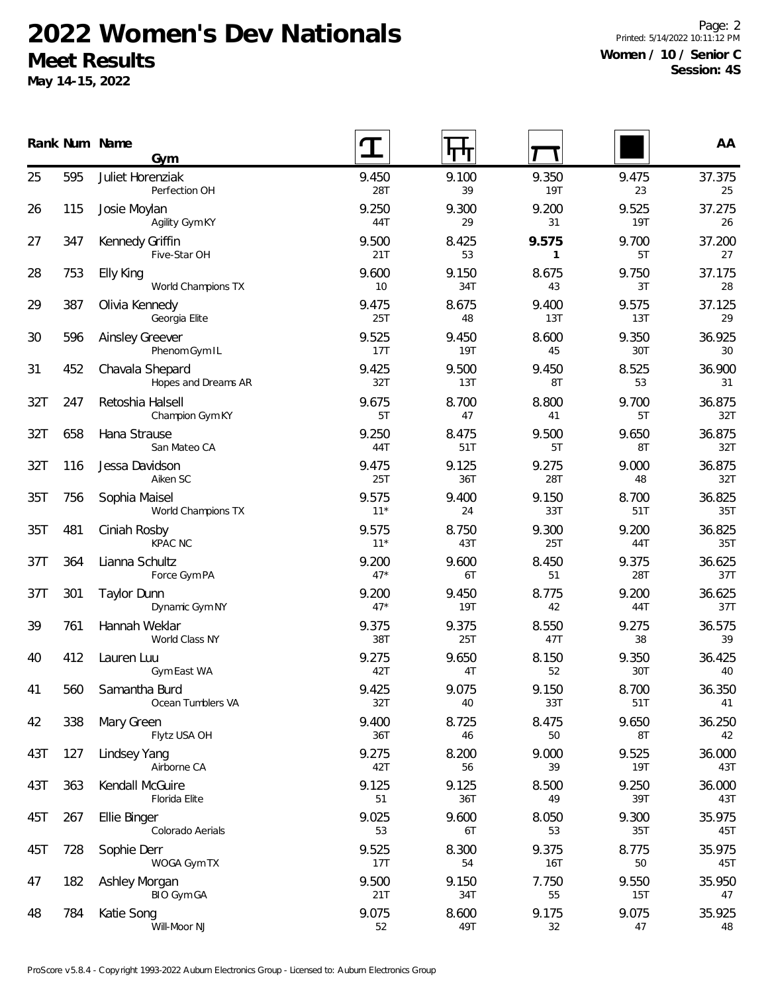## **2022 Women's Dev Nationals Meet Results**

**May 14-15, 2022**

Page: 2 Printed: 5/14/2022 10:11:12 PM **Women / 10 / Senior C Session: 4S**

|     |     | Rank Num Name<br>Gym                    |                | पण                  |                     |                     | AA            |
|-----|-----|-----------------------------------------|----------------|---------------------|---------------------|---------------------|---------------|
| 25  | 595 | Juliet Horenziak<br>Perfection OH       | 9.450<br>28T   | 9.100<br>39         | 9.350<br>19T        | 9.475<br>23         | 37.375<br>25  |
| 26  | 115 | Josie Moylan<br>Agility Gym KY          | 9.250<br>44T   | 9.300<br>29         | 9.200<br>31         | 9.525<br>19T        | 37.275<br>26  |
| 27  | 347 | Kennedy Griffin<br>Five-Star OH         | 9.500<br>21T   | 8.425<br>53         | 9.575<br>1          | 9.700<br>5T         | 37.200<br>27  |
| 28  | 753 | Elly King<br>World Champions TX         | 9.600<br>10    | 9.150<br>34T        | 8.675<br>43         | 9.750<br>3T         | 37.175<br>28  |
| 29  | 387 | Olivia Kennedy<br>Georgia Elite         | 9.475<br>25T   | 8.675<br>48         | 9.400<br>13T        | 9.575<br>13T        | 37.125<br>29  |
| 30  | 596 | <b>Ainsley Greever</b><br>Phenom Gym IL | 9.525<br>17T   | 9.450<br><b>19T</b> | 8.600<br>45         | 9.350<br>30T        | 36.925<br>30  |
| 31  | 452 | Chavala Shepard<br>Hopes and Dreams AR  | 9.425<br>32T   | 9.500<br>13T        | 9.450<br>8T         | 8.525<br>53         | 36.900<br>31  |
| 32T | 247 | Retoshia Halsell<br>Champion Gym KY     | 9.675<br>5T    | 8.700<br>47         | 8.800<br>41         | 9.700<br>5T         | 36.875<br>32T |
| 32T | 658 | Hana Strause<br>San Mateo CA            | 9.250<br>44T   | 8.475<br>51T        | 9.500<br>5T         | 9.650<br>8T         | 36.875<br>32T |
| 32T | 116 | Jessa Davidson<br>Aiken SC              | 9.475<br>25T   | 9.125<br>36T        | 9.275<br>28T        | 9.000<br>48         | 36.875<br>32T |
| 35T | 756 | Sophia Maisel<br>World Champions TX     | 9.575<br>$11*$ | 9.400<br>24         | 9.150<br>33T        | 8.700<br>51T        | 36.825<br>35T |
| 35T | 481 | Ciniah Rosby<br><b>KPAC NC</b>          | 9.575<br>$11*$ | 8.750<br>43T        | 9.300<br>25T        | 9.200<br>44T        | 36.825<br>35T |
| 37T | 364 | Lianna Schultz<br>Force Gym PA          | 9.200<br>$47*$ | 9.600<br>6T         | 8.450<br>51         | 9.375<br>28T        | 36.625<br>37T |
| 37T | 301 | <b>Taylor Dunn</b><br>Dynamic Gym NY    | 9.200<br>$47*$ | 9.450<br><b>19T</b> | 8.775<br>42         | 9.200<br>44T        | 36.625<br>37T |
| 39  | 761 | Hannah Weklar<br>World Class NY         | 9.375<br>38T   | 9.375<br>25T        | 8.550<br>47T        | 9.275<br>38         | 36.575<br>39  |
| 40  | 412 | Lauren Luu<br>Gym East WA               | 9.275<br>42T   | 9.650<br>4T         | 8.150<br>52         | 9.350<br>30T        | 36.425<br>40  |
| 41  | 560 | Samantha Burd<br>Ocean Tumblers VA      | 9.425<br>32T   | 9.075<br>40         | 9.150<br>33T        | 8.700<br>51T        | 36.350<br>41  |
| 42  | 338 | Mary Green<br>Flytz USA OH              | 9.400<br>36T   | 8.725<br>46         | 8.475<br>50         | 9.650<br>8T         | 36.250<br>42  |
| 43T | 127 | Lindsey Yang<br>Airborne CA             | 9.275<br>42T   | 8.200<br>56         | 9.000<br>39         | 9.525<br><b>19T</b> | 36.000<br>43T |
| 43T | 363 | Kendall McGuire<br>Florida Elite        | 9.125<br>51    | 9.125<br>36T        | 8.500<br>49         | 9.250<br>39T        | 36.000<br>43T |
| 45T | 267 | Ellie Binger<br>Colorado Aerials        | 9.025<br>53    | 9.600<br>6T         | 8.050<br>53         | 9.300<br>35T        | 35.975<br>45T |
| 45T | 728 | Sophie Derr<br>WOGA Gym TX              | 9.525<br>17T   | 8.300<br>54         | 9.375<br><b>16T</b> | 8.775<br>50         | 35.975<br>45T |
| 47  | 182 | Ashley Morgan<br>BIO Gym GA             | 9.500<br>21T   | 9.150<br>34T        | 7.750<br>55         | 9.550<br>15T        | 35.950<br>47  |
| 48  | 784 | Katie Song<br>Will-Moor NJ              | 9.075<br>52    | 8.600<br>49T        | 9.175<br>32         | 9.075<br>47         | 35.925<br>48  |